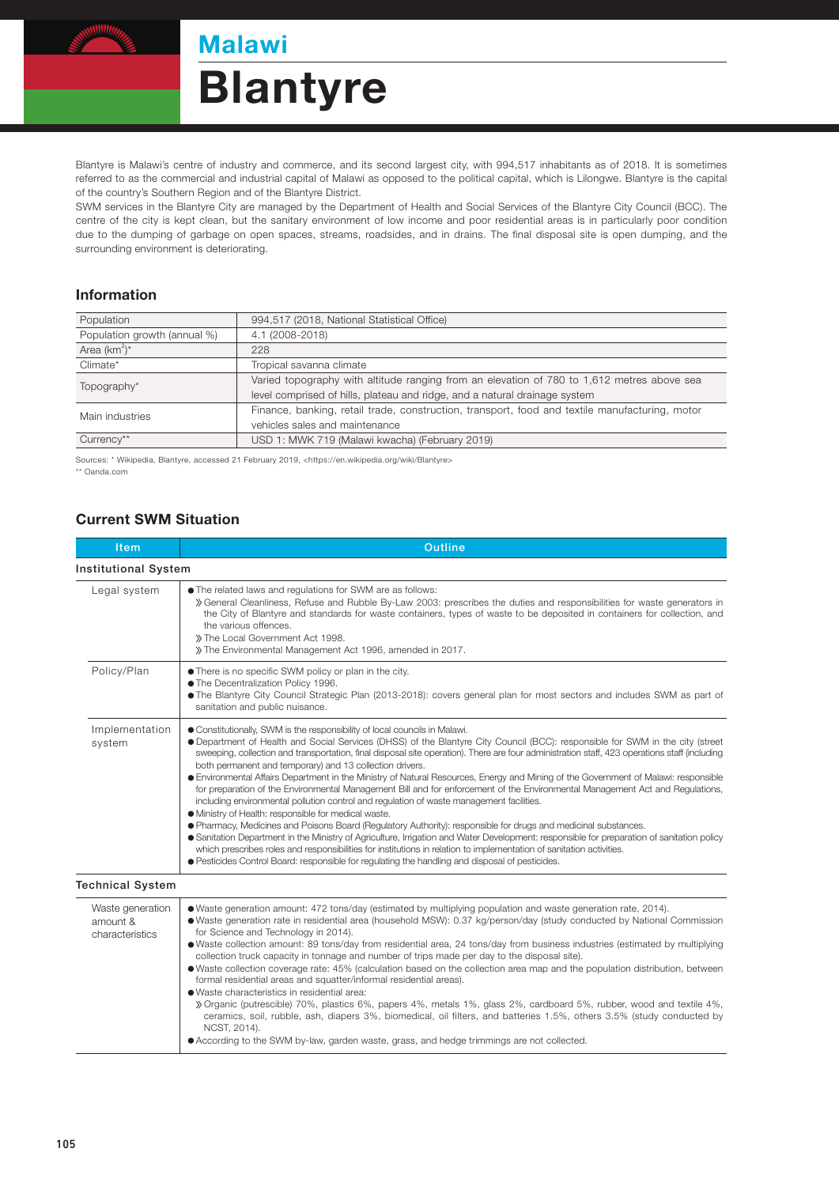## Malawi

# Blantyre

Blantyre is Malawi's centre of industry and commerce, and its second largest city, with 994,517 inhabitants as of 2018. It is sometimes referred to as the commercial and industrial capital of Malawi as opposed to the political capital, which is Lilongwe. Blantyre is the capital of the country's Southern Region and of the Blantyre District.

SWM services in the Blantyre City are managed by the Department of Health and Social Services of the Blantyre City Council (BCC). The centre of the city is kept clean, but the sanitary environment of low income and poor residential areas is in particularly poor condition due to the dumping of garbage on open spaces, streams, roadsides, and in drains. The final disposal site is open dumping, and the surrounding environment is deteriorating.

#### Information

| Population                   | 994,517 (2018, National Statistical Office)                                                    |  |  |
|------------------------------|------------------------------------------------------------------------------------------------|--|--|
| Population growth (annual %) | 4.1 (2008-2018)                                                                                |  |  |
| Area $(km^2)^*$              | 228                                                                                            |  |  |
| Climate*                     | Tropical savanna climate                                                                       |  |  |
| Topography*                  | Varied topography with altitude ranging from an elevation of 780 to 1,612 metres above sea     |  |  |
|                              | level comprised of hills, plateau and ridge, and a natural drainage system                     |  |  |
| Main industries              | Finance, banking, retail trade, construction, transport, food and textile manufacturing, motor |  |  |
|                              | vehicles sales and maintenance                                                                 |  |  |
| $Currence^{**}$              | USD 1: MWK 719 (Malawi kwacha) (February 2019)                                                 |  |  |
|                              |                                                                                                |  |  |

Sources: \* Wikipedia, Blantyre, accessed 21 February 2019, <https://en.wikipedia.org/wiki/Blantyre>

\*\* Oanda.com

#### Current SWM Situation

| Item                                            | <b>Outline</b>                                                                                                                                                                                                                                                                                                                                                                                                                                                                                                                                                                                                                                                                                                                                                                                                                                                                                                                                                                                                                                                                                                                                                                                                                                                                                                                                   |  |  |  |
|-------------------------------------------------|--------------------------------------------------------------------------------------------------------------------------------------------------------------------------------------------------------------------------------------------------------------------------------------------------------------------------------------------------------------------------------------------------------------------------------------------------------------------------------------------------------------------------------------------------------------------------------------------------------------------------------------------------------------------------------------------------------------------------------------------------------------------------------------------------------------------------------------------------------------------------------------------------------------------------------------------------------------------------------------------------------------------------------------------------------------------------------------------------------------------------------------------------------------------------------------------------------------------------------------------------------------------------------------------------------------------------------------------------|--|--|--|
| <b>Institutional System</b>                     |                                                                                                                                                                                                                                                                                                                                                                                                                                                                                                                                                                                                                                                                                                                                                                                                                                                                                                                                                                                                                                                                                                                                                                                                                                                                                                                                                  |  |  |  |
| Legal system                                    | • The related laws and regulations for SWM are as follows:<br>» General Cleanliness, Refuse and Rubble By-Law 2003: prescribes the duties and responsibilities for waste generators in<br>the City of Blantyre and standards for waste containers, types of waste to be deposited in containers for collection, and<br>the various offences.<br>» The Local Government Act 1998.<br>» The Environmental Management Act 1996, amended in 2017.                                                                                                                                                                                                                                                                                                                                                                                                                                                                                                                                                                                                                                                                                                                                                                                                                                                                                                    |  |  |  |
| Policy/Plan                                     | • There is no specific SWM policy or plan in the city.<br><b>• The Decentralization Policy 1996.</b><br>• The Blantyre City Council Strategic Plan (2013-2018): covers general plan for most sectors and includes SWM as part of<br>sanitation and public nuisance.                                                                                                                                                                                                                                                                                                                                                                                                                                                                                                                                                                                                                                                                                                                                                                                                                                                                                                                                                                                                                                                                              |  |  |  |
| Implementation<br>system                        | • Constitutionally, SWM is the responsibility of local councils in Malawi.<br>· Department of Health and Social Services (DHSS) of the Blantyre City Council (BCC): responsible for SWM in the city (street<br>sweeping, collection and transportation, final disposal site operation). There are four administration staff, 423 operations staff (including<br>both permanent and temporary) and 13 collection drivers.<br>• Environmental Affairs Department in the Ministry of Natural Resources, Energy and Mining of the Government of Malawi: responsible<br>for preparation of the Environmental Management Bill and for enforcement of the Environmental Management Act and Regulations,<br>including environmental pollution control and regulation of waste management facilities.<br>• Ministry of Health: responsible for medical waste.<br>• Pharmacy, Medicines and Poisons Board (Regulatory Authority): responsible for drugs and medicinal substances.<br>• Sanitation Department in the Ministry of Agriculture, Irrigation and Water Development: responsible for preparation of sanitation policy<br>which prescribes roles and responsibilities for institutions in relation to implementation of sanitation activities.<br>• Pesticides Control Board: responsible for regulating the handling and disposal of pesticides. |  |  |  |
| <b>Technical System</b>                         |                                                                                                                                                                                                                                                                                                                                                                                                                                                                                                                                                                                                                                                                                                                                                                                                                                                                                                                                                                                                                                                                                                                                                                                                                                                                                                                                                  |  |  |  |
| Waste generation<br>amount &<br>characteristics | • Waste generation amount: 472 tons/day (estimated by multiplying population and waste generation rate, 2014).<br>· Waste generation rate in residential area (household MSW): 0.37 kg/person/day (study conducted by National Commission<br>for Science and Technology in 2014).<br>• Waste collection amount: 89 tons/day from residential area, 24 tons/day from business industries (estimated by multiplying<br>collection truck capacity in tonnage and number of trips made per day to the disposal site).<br>• Waste collection coverage rate: 45% (calculation based on the collection area map and the population distribution, between<br>formal residential areas and squatter/informal residential areas).<br>● Waste characteristics in residential area:<br>» Organic (putrescible) 70%, plastics 6%, papers 4%, metals 1%, glass 2%, cardboard 5%, rubber, wood and textile 4%,<br>ceramics, soil, rubble, ash, diapers 3%, biomedical, oil filters, and batteries 1.5%, others 3.5% (study conducted by<br>NCST, 2014).<br>• According to the SWM by-law, garden waste, grass, and hedge trimmings are not collected.                                                                                                                                                                                                           |  |  |  |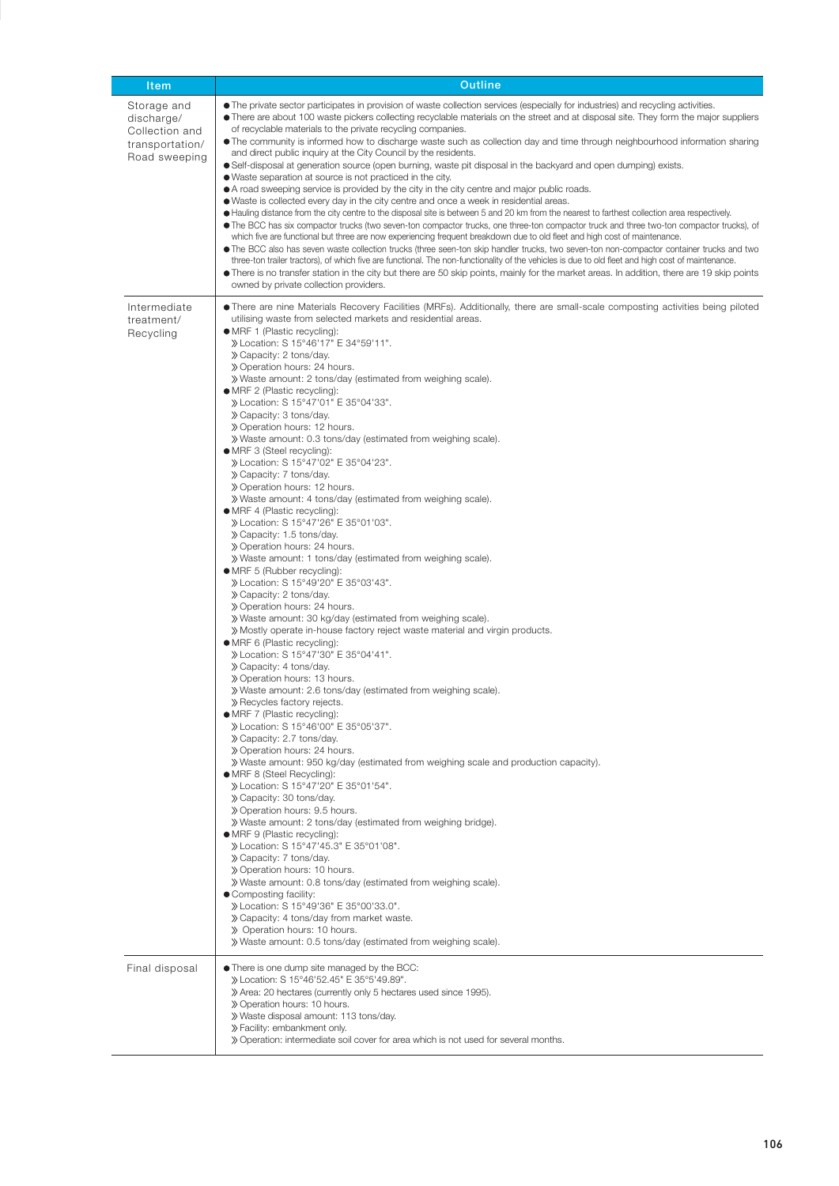| Item                                                                            | <b>Outline</b>                                                                                                                                                                                                                                                                                                                                                                                                                                                                                                                                                                                                                                                                                                                                                                                                                                                                                                                                                                                                                                                                                                                                                                                                                                                                                                                                                                                                                                                                                                                                                                                                                                                                                                                                                                                                                                                                                                                                                                                                                                                                                                                                                                                                                                                                                                                                                                     |
|---------------------------------------------------------------------------------|------------------------------------------------------------------------------------------------------------------------------------------------------------------------------------------------------------------------------------------------------------------------------------------------------------------------------------------------------------------------------------------------------------------------------------------------------------------------------------------------------------------------------------------------------------------------------------------------------------------------------------------------------------------------------------------------------------------------------------------------------------------------------------------------------------------------------------------------------------------------------------------------------------------------------------------------------------------------------------------------------------------------------------------------------------------------------------------------------------------------------------------------------------------------------------------------------------------------------------------------------------------------------------------------------------------------------------------------------------------------------------------------------------------------------------------------------------------------------------------------------------------------------------------------------------------------------------------------------------------------------------------------------------------------------------------------------------------------------------------------------------------------------------------------------------------------------------------------------------------------------------------------------------------------------------------------------------------------------------------------------------------------------------------------------------------------------------------------------------------------------------------------------------------------------------------------------------------------------------------------------------------------------------------------------------------------------------------------------------------------------------|
| Storage and<br>discharge/<br>Collection and<br>transportation/<br>Road sweeping | • The private sector participates in provision of waste collection services (especially for industries) and recycling activities.<br>• There are about 100 waste pickers collecting recyclable materials on the street and at disposal site. They form the major suppliers<br>of recyclable materials to the private recycling companies.<br>• The community is informed how to discharge waste such as collection day and time through neighbourhood information sharing<br>and direct public inquiry at the City Council by the residents.<br>• Self-disposal at generation source (open burning, waste pit disposal in the backyard and open dumping) exists.<br>• Waste separation at source is not practiced in the city.<br>• A road sweeping service is provided by the city in the city centre and major public roads.<br>• Waste is collected every day in the city centre and once a week in residential areas.<br>• Hauling distance from the city centre to the disposal site is between 5 and 20 km from the nearest to farthest collection area respectively.<br>• The BCC has six compactor trucks (two seven-ton compactor trucks, one three-ton compactor truck and three two-ton compactor trucks), of<br>which five are functional but three are now experiencing frequent breakdown due to old fleet and high cost of maintenance.<br>• The BCC also has seven waste collection trucks (three seen-ton skip handler trucks, two seven-ton non-compactor container trucks and two<br>three-ton trailer tractors), of which five are functional. The non-functionality of the vehicles is due to old fleet and high cost of maintenance.<br>• There is no transfer station in the city but there are 50 skip points, mainly for the market areas. In addition, there are 19 skip points<br>owned by private collection providers.                                                                                                                                                                                                                                                                                                                                                                                                                                                                                                                                |
| Intermediate<br>treatment/<br>Recycling                                         | • There are nine Materials Recovery Facilities (MRFs). Additionally, there are small-scale composting activities being piloted<br>utilising waste from selected markets and residential areas.<br>• MRF 1 (Plastic recycling):<br>» Location: S 15°46'17" E 34°59'11".<br>» Capacity: 2 tons/day.<br>» Operation hours: 24 hours.<br>» Waste amount: 2 tons/day (estimated from weighing scale).<br>• MRF 2 (Plastic recycling):<br>» Location: S 15°47'01" E 35°04'33".<br>» Capacity: 3 tons/day.<br>» Operation hours: 12 hours.<br>» Waste amount: 0.3 tons/day (estimated from weighing scale).<br>• MRF 3 (Steel recycling):<br>» Location: S 15°47'02" E 35°04'23".<br>» Capacity: 7 tons/day.<br>» Operation hours: 12 hours.<br>» Waste amount: 4 tons/day (estimated from weighing scale).<br>• MRF 4 (Plastic recycling):<br>» Location: S 15°47'26" E 35°01'03".<br>» Capacity: 1.5 tons/day.<br>» Operation hours: 24 hours.<br>» Waste amount: 1 tons/day (estimated from weighing scale).<br>• MRF 5 (Rubber recycling):<br>» Location: S 15°49'20" E 35°03'43".<br>» Capacity: 2 tons/day.<br>» Operation hours: 24 hours.<br>» Waste amount: 30 kg/day (estimated from weighing scale).<br>» Mostly operate in-house factory reject waste material and virgin products.<br>• MRF 6 (Plastic recycling):<br>» Location: S 15°47'30" E 35°04'41".<br>» Capacity: 4 tons/day.<br>» Operation hours: 13 hours.<br>» Waste amount: 2.6 tons/day (estimated from weighing scale).<br>» Recycles factory rejects.<br>• MRF 7 (Plastic recycling):<br>» Location: S 15°46'00" E 35°05'37".<br>» Capacity: 2.7 tons/day.<br>» Operation hours: 24 hours.<br>» Waste amount: 950 kg/day (estimated from weighing scale and production capacity).<br>• MRF 8 (Steel Recycling):<br>» Location: S 15°47'20" E 35°01'54".<br>» Capacity: 30 tons/day.<br>» Operation hours: 9.5 hours.<br>» Waste amount: 2 tons/day (estimated from weighing bridge).<br>• MRF 9 (Plastic recycling):<br>» Location: S 15°47'45.3" E 35°01'08".<br>» Capacity: 7 tons/day.<br>» Operation hours: 10 hours.<br>» Waste amount: 0.8 tons/day (estimated from weighing scale).<br>• Composting facility:<br>» Location: S 15°49'36" E 35°00'33.0".<br>» Capacity: 4 tons/day from market waste.<br>» Operation hours: 10 hours.<br>» Waste amount: 0.5 tons/day (estimated from weighing scale). |
| Final disposal                                                                  | • There is one dump site managed by the BCC:<br>» Location: S 15°46'52.45" E 35°5'49.89".<br>» Area: 20 hectares (currently only 5 hectares used since 1995).<br>» Operation hours: 10 hours.<br>» Waste disposal amount: 113 tons/day.<br>» Facility: embankment only.<br>» Operation: intermediate soil cover for area which is not used for several months.                                                                                                                                                                                                                                                                                                                                                                                                                                                                                                                                                                                                                                                                                                                                                                                                                                                                                                                                                                                                                                                                                                                                                                                                                                                                                                                                                                                                                                                                                                                                                                                                                                                                                                                                                                                                                                                                                                                                                                                                                     |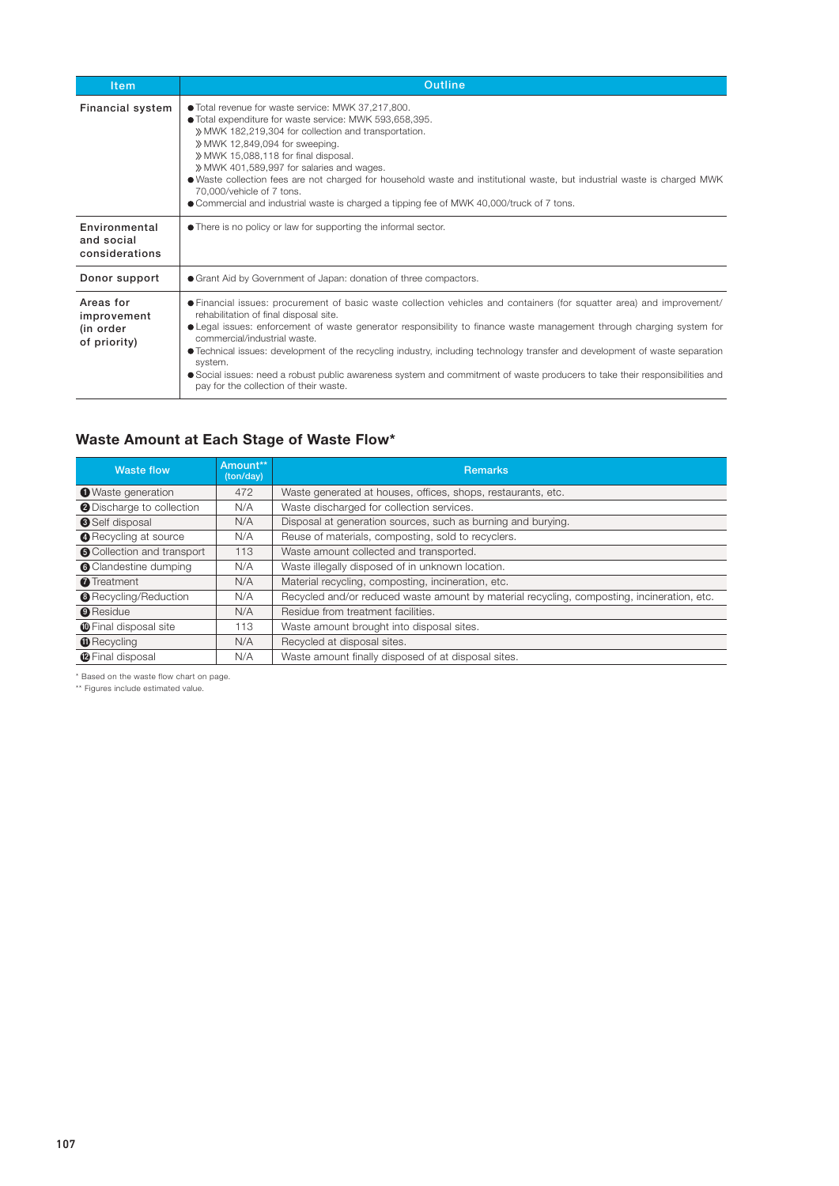| <b>Item</b>                                           | <b>Outline</b>                                                                                                                                                                                                                                                                                                                                                                                                                                                                                                                                                                                                                                |  |  |
|-------------------------------------------------------|-----------------------------------------------------------------------------------------------------------------------------------------------------------------------------------------------------------------------------------------------------------------------------------------------------------------------------------------------------------------------------------------------------------------------------------------------------------------------------------------------------------------------------------------------------------------------------------------------------------------------------------------------|--|--|
| <b>Financial system</b>                               | ● Total revenue for waste service: MWK 37,217,800.<br>● Total expenditure for waste service: MWK 593,658,395.<br>» MWK 182,219,304 for collection and transportation.<br>» MWK 12,849,094 for sweeping.<br>» MWK 15,088,118 for final disposal.<br>» MWK 401,589,997 for salaries and wages.<br>• Waste collection fees are not charged for household waste and institutional waste, but industrial waste is charged MWK<br>70,000/vehicle of 7 tons.<br>● Commercial and industrial waste is charged a tipping fee of MWK 40,000/truck of 7 tons.                                                                                            |  |  |
| Environmental<br>and social<br>considerations         | • There is no policy or law for supporting the informal sector.                                                                                                                                                                                                                                                                                                                                                                                                                                                                                                                                                                               |  |  |
| Donor support                                         | • Grant Aid by Government of Japan: donation of three compactors.                                                                                                                                                                                                                                                                                                                                                                                                                                                                                                                                                                             |  |  |
| Areas for<br>improvement<br>(in order<br>of priority) | • Financial issues: procurement of basic waste collection vehicles and containers (for squatter area) and improvement/<br>rehabilitation of final disposal site.<br>• Legal issues: enforcement of waste generator responsibility to finance waste management through charging system for<br>commercial/industrial waste.<br>• Technical issues: development of the recycling industry, including technology transfer and development of waste separation<br>system.<br>• Social issues: need a robust public awareness system and commitment of waste producers to take their responsibilities and<br>pay for the collection of their waste. |  |  |

#### Waste Amount at Each Stage of Waste Flow\*

| <b>Waste flow</b>                 | Amount**<br>(ton/day) | <b>Remarks</b>                                                                             |
|-----------------------------------|-----------------------|--------------------------------------------------------------------------------------------|
| <b>O</b> Waste generation         | 472                   | Waste generated at houses, offices, shops, restaurants, etc.                               |
| <b>2</b> Discharge to collection  | N/A                   | Waste discharged for collection services.                                                  |
| Self disposal                     | N/A                   | Disposal at generation sources, such as burning and burying.                               |
| <b>O</b> Recycling at source      | N/A                   | Reuse of materials, composting, sold to recyclers.                                         |
| <b>6</b> Collection and transport | 113                   | Waste amount collected and transported.                                                    |
| <b>O</b> Clandestine dumping      | N/A                   | Waste illegally disposed of in unknown location.                                           |
| <b>O</b> Treatment                | N/A                   | Material recycling, composting, incineration, etc.                                         |
| <b>@</b> Recycling/Reduction      | N/A                   | Recycled and/or reduced waste amount by material recycling, composting, incineration, etc. |
| <sup>O</sup> Residue              | N/A                   | Residue from treatment facilities.                                                         |
| <b>ID</b> Final disposal site     | 113                   | Waste amount brought into disposal sites.                                                  |
| <b>T</b> Recycling                | N/A                   | Recycled at disposal sites.                                                                |
| <b>@Final disposal</b>            | N/A                   | Waste amount finally disposed of at disposal sites.                                        |

\* Based on the waste flow chart on page.

\*\* Figures include estimated value.